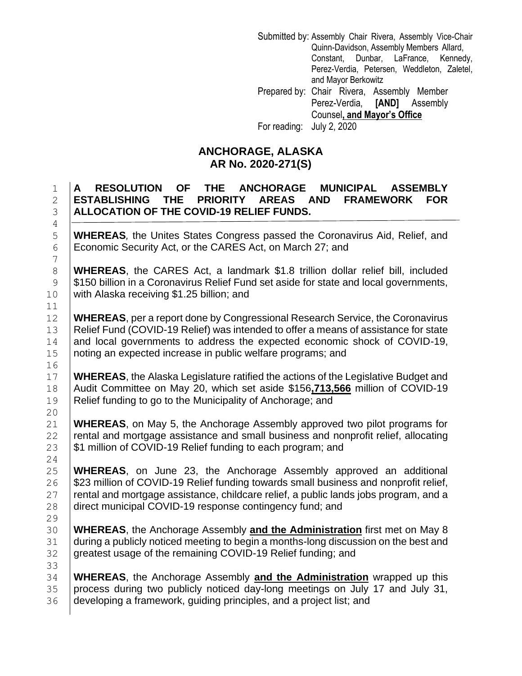Submitted by: Assembly Chair Rivera, Assembly Vice-Chair Quinn-Davidson, Assembly Members Allard, Constant, Dunbar, LaFrance, Kennedy, Perez-Verdia, Petersen, Weddleton, Zaletel, and Mayor Berkowitz Prepared by: Chair Rivera, Assembly Member Perez-Verdia, **[AND]** Assembly Counsel**, and Mayor's Office**

For reading: July 2, 2020

## **ANCHORAGE, ALASKA AR No. 2020-271(S)**

## 1 **A RESOLUTION OF THE ANCHORAGE MUNICIPAL ASSEMBLY**  2 **ESTABLISHING THE PRIORITY AREAS AND FRAMEWORK FOR**  3 **ALLOCATION OF THE COVID-19 RELIEF FUNDS.**

5 **WHEREAS***,* the Unites States Congress passed the Coronavirus Aid, Relief, and 6 Economic Security Act, or the CARES Act, on March 27; and

8 **WHEREAS**, the CARES Act, a landmark \$1.8 trillion dollar relief bill, included 9 S150 billion in a Coronavirus Relief Fund set aside for state and local governments, 10 with Alaska receiving \$1.25 billion; and

 **WHEREAS**, per a report done by Congressional Research Service, the Coronavirus Relief Fund (COVID-19 Relief) was intended to offer a means of assistance for state 14 and local governments to address the expected economic shock of COVID-19, noting an expected increase in public welfare programs; and

17 **WHEREAS**, the Alaska Legislature ratified the actions of the Legislative Budget and 18 Audit Committee on May 20, which set aside \$156**,713,566** million of COVID-19 19 Relief funding to go to the Municipality of Anchorage; and

21 **WHEREAS**, on May 5, the Anchorage Assembly approved two pilot programs for  $22$  rental and mortgage assistance and small business and nonprofit relief, allocating 23  $\frac{1}{3}$   $\frac{1}{3}$  million of COVID-19 Relief funding to each program; and

 **WHEREAS**, on June 23, the Anchorage Assembly approved an additional **Samillion of COVID-19 Relief funding towards small business and nonprofit relief,**  rental and mortgage assistance, childcare relief, a public lands jobs program, and a 28 direct municipal COVID-19 response contingency fund; and

30 **WHEREAS**, the Anchorage Assembly **and the Administration** first met on May 8 31 during a publicly noticed meeting to begin a months-long discussion on the best and 32 greatest usage of the remaining COVID-19 Relief funding; and

34 **WHEREAS**, the Anchorage Assembly **and the Administration** wrapped up this 35 process during two publicly noticed day-long meetings on July 17 and July 31, 36 developing a framework, guiding principles, and a project list; and

24

29

33

4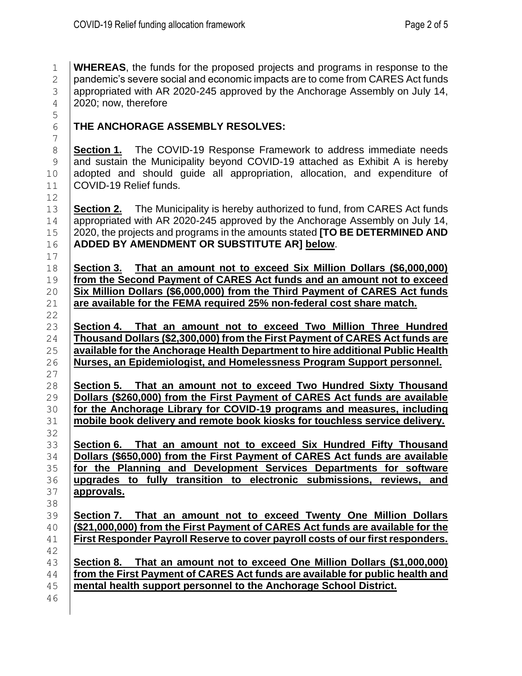**WHEREAS**, the funds for the proposed projects and programs in response to the  $\Box$  pandemic's severe social and economic impacts are to come from CARES Act funds appropriated with AR 2020-245 approved by the Anchorage Assembly on July 14, 4 2020; now, therefore

**THE ANCHORAGE ASSEMBLY RESOLVES:**

 **Section 1.** The COVID-19 Response Framework to address immediate needs 9 and sustain the Municipality beyond COVID-19 attached as Exhibit A is hereby 10 adopted and should guide all appropriation, allocation, and expenditure of COVID-19 Relief funds.

 **Section 2.** The Municipality is hereby authorized to fund, from CARES Act funds 14 appropriated with AR 2020-245 approved by the Anchorage Assembly on July 14, 2020, the projects and programs in the amounts stated **[TO BE DETERMINED AND ADDED BY AMENDMENT OR SUBSTITUTE AR] below**.

 **Section 3. That an amount not to exceed Six Million Dollars (\$6,000,000) from the Second Payment of CARES Act funds and an amount not to exceed Six Million Dollars (\$6,000,000) from the Third Payment of CARES Act funds are available for the FEMA required 25% non-federal cost share match.**

 **Section 4. That an amount not to exceed Two Million Three Hundred Thousand Dollars (\$2,300,000) from the First Payment of CARES Act funds are available for the Anchorage Health Department to hire additional Public Health Nurses, an Epidemiologist, and Homelessness Program Support personnel.**

 **Section 5. That an amount not to exceed Two Hundred Sixty Thousand Dollars (\$260,000) from the First Payment of CARES Act funds are available for the Anchorage Library for COVID-19 programs and measures, including mobile book delivery and remote book kiosks for touchless service delivery.**

 **Section 6. That an amount not to exceed Six Hundred Fifty Thousand Dollars (\$650,000) from the First Payment of CARES Act funds are available for the Planning and Development Services Departments for software upgrades to fully transition to electronic submissions, reviews, and approvals.**

 **Section 7. That an amount not to exceed Twenty One Million Dollars (\$21,000,000) from the First Payment of CARES Act funds are available for the First Responder Payroll Reserve to cover payroll costs of our first responders.**

 **Section 8. That an amount not to exceed One Million Dollars (\$1,000,000) from the First Payment of CARES Act funds are available for public health and mental health support personnel to the Anchorage School District.**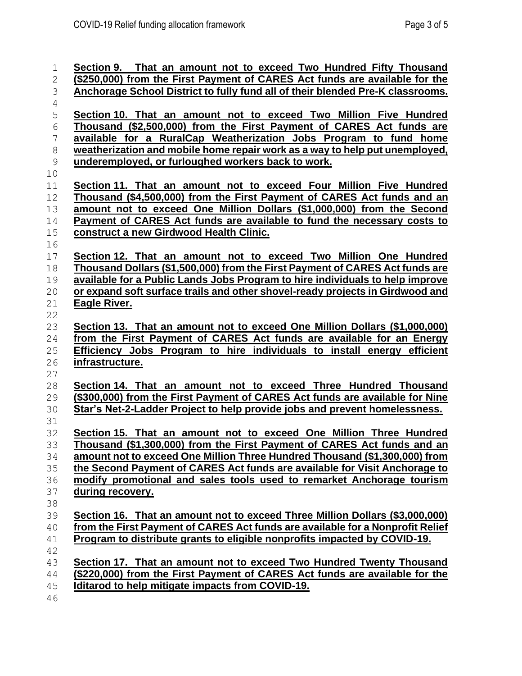| $\mathbf 1$<br>$\mathbf{2}$ | Section 9. That an amount not to exceed Two Hundred Fifty Thousand<br>(\$250,000) from the First Payment of CARES Act funds are available for the             |
|-----------------------------|---------------------------------------------------------------------------------------------------------------------------------------------------------------|
| 3                           | <b>Anchorage School District to fully fund all of their blended Pre-K classrooms.</b>                                                                         |
| $\overline{4}$              |                                                                                                                                                               |
| 5<br>$\sqrt{6}$             | Section 10. That an amount not to exceed Two Million Five Hundred<br>Thousand (\$2,500,000) from the First Payment of CARES Act funds are                     |
| $\overline{7}$              | available for a RuralCap Weatherization Jobs Program to fund home                                                                                             |
| $\,8\,$                     | weatherization and mobile home repair work as a way to help put unemployed,                                                                                   |
| $\mathcal{G}$<br>$10$       | underemployed, or furloughed workers back to work.                                                                                                            |
| 11                          | Section 11. That an amount not to exceed Four Million Five Hundred                                                                                            |
| 12                          | Thousand (\$4,500,000) from the First Payment of CARES Act funds and an                                                                                       |
| 13                          | amount not to exceed One Million Dollars (\$1,000,000) from the Second                                                                                        |
| 14                          | Payment of CARES Act funds are available to fund the necessary costs to                                                                                       |
| $15$<br>16                  | construct a new Girdwood Health Clinic.                                                                                                                       |
| $17\,$                      | Section 12. That an amount not to exceed Two Million One Hundred                                                                                              |
| 18<br>19                    | Thousand Dollars (\$1,500,000) from the First Payment of CARES Act funds are<br>available for a Public Lands Jobs Program to hire individuals to help improve |
| 20                          | or expand soft surface trails and other shovel-ready projects in Girdwood and                                                                                 |
| 21                          | <b>Eagle River.</b>                                                                                                                                           |
| 22                          |                                                                                                                                                               |
| 23                          | Section 13. That an amount not to exceed One Million Dollars (\$1,000,000)                                                                                    |
| 24                          | from the First Payment of CARES Act funds are available for an Energy                                                                                         |
| 25                          | Efficiency Jobs Program to hire individuals to install energy efficient                                                                                       |
| $26$<br>27                  | <u>infrastructure.</u>                                                                                                                                        |
| 28                          | Section 14. That an amount not to exceed Three Hundred Thousand                                                                                               |
| 29                          | (\$300,000) from the First Payment of CARES Act funds are available for Nine                                                                                  |
| 30                          | Star's Net-2-Ladder Project to help provide jobs and prevent homelessness.                                                                                    |
| 31                          |                                                                                                                                                               |
| 32                          | Section 15. That an amount not to exceed One Million Three Hundred                                                                                            |
| 33                          | Thousand (\$1,300,000) from the First Payment of CARES Act funds and an                                                                                       |
| 34                          | amount not to exceed One Million Three Hundred Thousand (\$1,300,000) from                                                                                    |
| 35                          | the Second Payment of CARES Act funds are available for Visit Anchorage to                                                                                    |
| 36                          | modify promotional and sales tools used to remarket Anchorage tourism                                                                                         |
| 37<br>38                    | during recovery.                                                                                                                                              |
| 39                          | Section 16. That an amount not to exceed Three Million Dollars (\$3,000,000)                                                                                  |
| 40                          | from the First Payment of CARES Act funds are available for a Nonprofit Relief                                                                                |
| 41                          | Program to distribute grants to eligible nonprofits impacted by COVID-19.                                                                                     |
| 42                          |                                                                                                                                                               |
| 43                          | Section 17. That an amount not to exceed Two Hundred Twenty Thousand                                                                                          |
| 44                          | (\$220,000) from the First Payment of CARES Act funds are available for the                                                                                   |
| 45                          | Iditarod to help mitigate impacts from COVID-19.                                                                                                              |
| 46                          |                                                                                                                                                               |
|                             |                                                                                                                                                               |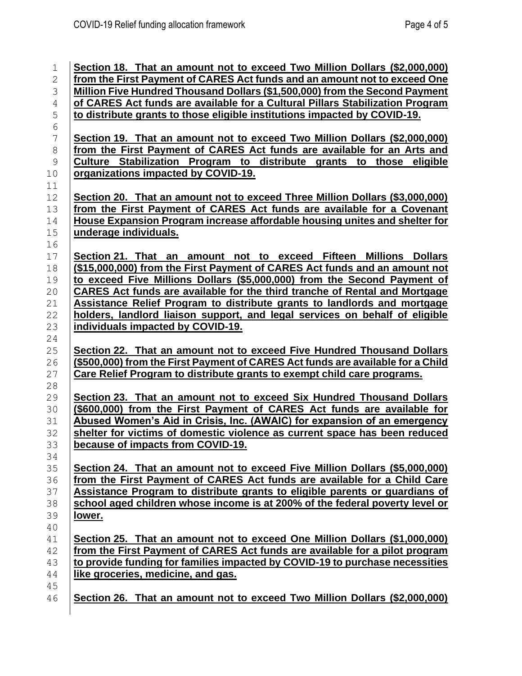| 1              | Section 18. That an amount not to exceed Two Million Dollars (\$2,000,000)                          |
|----------------|-----------------------------------------------------------------------------------------------------|
| $\mathbf{2}$   | from the First Payment of CARES Act funds and an amount not to exceed One                           |
| 3              | Million Five Hundred Thousand Dollars (\$1,500,000) from the Second Payment                         |
| $\sqrt{4}$     | of CARES Act funds are available for a Cultural Pillars Stabilization Program                       |
| 5              | to distribute grants to those eligible institutions impacted by COVID-19.                           |
| $\epsilon$     |                                                                                                     |
| $\overline{7}$ | Section 19. That an amount not to exceed Two Million Dollars (\$2,000,000)                          |
| $\,8\,$        | from the First Payment of CARES Act funds are available for an Arts and                             |
| $\mathsf 9$    | Culture Stabilization Program to distribute grants to those eligible                                |
| 10             | organizations impacted by COVID-19.                                                                 |
| 11             |                                                                                                     |
| 12             | Section 20. That an amount not to exceed Three Million Dollars (\$3,000,000)                        |
| 13             | from the First Payment of CARES Act funds are available for a Covenant                              |
| 14<br>15       | House Expansion Program increase affordable housing unites and shelter for<br>underage individuals. |
| 16             |                                                                                                     |
| 17             | Section 21. That an amount not to exceed Fifteen Millions Dollars                                   |
| 18             | (\$15,000,000) from the First Payment of CARES Act funds and an amount not                          |
| 19             | to exceed Five Millions Dollars (\$5,000,000) from the Second Payment of                            |
| 20             | CARES Act funds are available for the third tranche of Rental and Mortgage                          |
| 21             | <b>Assistance Relief Program to distribute grants to landlords and mortgage</b>                     |
| 22             | holders, landlord liaison support, and legal services on behalf of eligible                         |
| 23             | individuals impacted by COVID-19.                                                                   |
| 24             |                                                                                                     |
| 25             | Section 22. That an amount not to exceed Five Hundred Thousand Dollars                              |
| 26             | (\$500,000) from the First Payment of CARES Act funds are available for a Child                     |
| 27             | Care Relief Program to distribute grants to exempt child care programs.                             |
| 28             |                                                                                                     |
| 29             | Section 23. That an amount not to exceed Six Hundred Thousand Dollars                               |
| 30             | (\$600,000) from the First Payment of CARES Act funds are available for                             |
| 31             | Abused Women's Aid in Crisis, Inc. (AWAIC) for expansion of an emergency                            |
| 32             | shelter for victims of domestic violence as current space has been reduced                          |
| 33             | because of impacts from COVID-19.                                                                   |
| 34<br>35       | Section 24. That an amount not to exceed Five Million Dollars (\$5,000,000)                         |
| 36             | from the First Payment of CARES Act funds are available for a Child Care                            |
| 37             | Assistance Program to distribute grants to eligible parents or guardians of                         |
| 38             | school aged children whose income is at 200% of the federal poverty level or                        |
| 39             | lower.                                                                                              |
| 40             |                                                                                                     |
| 41             | Section 25. That an amount not to exceed One Million Dollars (\$1,000,000)                          |
| 42             | from the First Payment of CARES Act funds are available for a pilot program                         |
| 43             | to provide funding for families impacted by COVID-19 to purchase necessities                        |
| 44             | like groceries, medicine, and gas.                                                                  |
| 45             |                                                                                                     |
| 46             | Section 26. That an amount not to exceed Two Million Dollars (\$2,000,000)                          |
|                |                                                                                                     |